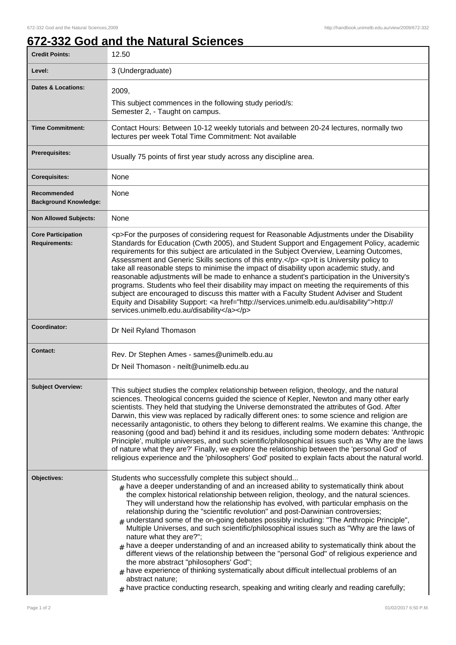## **672-332 God and the Natural Sciences**

| <b>Credit Points:</b>                             | 12.50                                                                                                                                                                                                                                                                                                                                                                                                                                                                                                                                                                                                                                                                                                                                                                                                                                                                                                                                                                                                                                                                                                                             |
|---------------------------------------------------|-----------------------------------------------------------------------------------------------------------------------------------------------------------------------------------------------------------------------------------------------------------------------------------------------------------------------------------------------------------------------------------------------------------------------------------------------------------------------------------------------------------------------------------------------------------------------------------------------------------------------------------------------------------------------------------------------------------------------------------------------------------------------------------------------------------------------------------------------------------------------------------------------------------------------------------------------------------------------------------------------------------------------------------------------------------------------------------------------------------------------------------|
| Level:                                            | 3 (Undergraduate)                                                                                                                                                                                                                                                                                                                                                                                                                                                                                                                                                                                                                                                                                                                                                                                                                                                                                                                                                                                                                                                                                                                 |
| <b>Dates &amp; Locations:</b>                     | 2009,                                                                                                                                                                                                                                                                                                                                                                                                                                                                                                                                                                                                                                                                                                                                                                                                                                                                                                                                                                                                                                                                                                                             |
|                                                   | This subject commences in the following study period/s:<br>Semester 2, - Taught on campus.                                                                                                                                                                                                                                                                                                                                                                                                                                                                                                                                                                                                                                                                                                                                                                                                                                                                                                                                                                                                                                        |
| <b>Time Commitment:</b>                           | Contact Hours: Between 10-12 weekly tutorials and between 20-24 lectures, normally two<br>lectures per week Total Time Commitment: Not available                                                                                                                                                                                                                                                                                                                                                                                                                                                                                                                                                                                                                                                                                                                                                                                                                                                                                                                                                                                  |
| <b>Prerequisites:</b>                             | Usually 75 points of first year study across any discipline area.                                                                                                                                                                                                                                                                                                                                                                                                                                                                                                                                                                                                                                                                                                                                                                                                                                                                                                                                                                                                                                                                 |
| <b>Corequisites:</b>                              | None                                                                                                                                                                                                                                                                                                                                                                                                                                                                                                                                                                                                                                                                                                                                                                                                                                                                                                                                                                                                                                                                                                                              |
| Recommended<br><b>Background Knowledge:</b>       | None                                                                                                                                                                                                                                                                                                                                                                                                                                                                                                                                                                                                                                                                                                                                                                                                                                                                                                                                                                                                                                                                                                                              |
| <b>Non Allowed Subjects:</b>                      | None                                                                                                                                                                                                                                                                                                                                                                                                                                                                                                                                                                                                                                                                                                                                                                                                                                                                                                                                                                                                                                                                                                                              |
| <b>Core Participation</b><br><b>Requirements:</b> | <p>For the purposes of considering request for Reasonable Adjustments under the Disability<br/>Standards for Education (Cwth 2005), and Student Support and Engagement Policy, academic<br/>requirements for this subject are articulated in the Subject Overview, Learning Outcomes,<br/>Assessment and Generic Skills sections of this entry.</p> <p>lt is University policy to<br/>take all reasonable steps to minimise the impact of disability upon academic study, and<br/>reasonable adjustments will be made to enhance a student's participation in the University's<br/>programs. Students who feel their disability may impact on meeting the requirements of this<br/>subject are encouraged to discuss this matter with a Faculty Student Adviser and Student<br/>Equity and Disability Support: &lt; a href="http://services.unimelb.edu.au/disability"&gt;http://<br/>services.unimelb.edu.au/disability</p>                                                                                                                                                                                                      |
| Coordinator:                                      | Dr Neil Ryland Thomason                                                                                                                                                                                                                                                                                                                                                                                                                                                                                                                                                                                                                                                                                                                                                                                                                                                                                                                                                                                                                                                                                                           |
| Contact:                                          | Rev. Dr Stephen Ames - sames@unimelb.edu.au<br>Dr Neil Thomason - neilt@unimelb.edu.au                                                                                                                                                                                                                                                                                                                                                                                                                                                                                                                                                                                                                                                                                                                                                                                                                                                                                                                                                                                                                                            |
| <b>Subject Overview:</b>                          | This subject studies the complex relationship between religion, theology, and the natural<br>sciences. Theological concerns guided the science of Kepler, Newton and many other early<br>scientists. They held that studying the Universe demonstrated the attributes of God. After<br>Darwin, this view was replaced by radically different ones: to some science and religion are<br>necessarily antagonistic, to others they belong to different realms. We examine this change, the<br>reasoning (good and bad) behind it and its residues, including some modern debates: 'Anthropic<br>Principle', multiple universes, and such scientific/philosophical issues such as 'Why are the laws<br>of nature what they are?' Finally, we explore the relationship between the 'personal God' of<br>religious experience and the 'philosophers' God' posited to explain facts about the natural world.                                                                                                                                                                                                                             |
| Objectives:                                       | Students who successfully complete this subject should<br>$_{\rm #}$ have a deeper understanding of and an increased ability to systematically think about<br>the complex historical relationship between religion, theology, and the natural sciences.<br>They will understand how the relationship has evolved, with particular emphasis on the<br>relationship during the "scientific revolution" and post-Darwinian controversies;<br>$#$ understand some of the on-going debates possibly including: "The Anthropic Principle",<br>Multiple Universes, and such scientific/philosophical issues such as "Why are the laws of<br>nature what they are?";<br>$#$ have a deeper understanding of and an increased ability to systematically think about the<br>different views of the relationship between the "personal God" of religious experience and<br>the more abstract "philosophers' God";<br>have experience of thinking systematically about difficult intellectual problems of an<br>#<br>abstract nature;<br>$_{\text{\#}}$ have practice conducting research, speaking and writing clearly and reading carefully; |